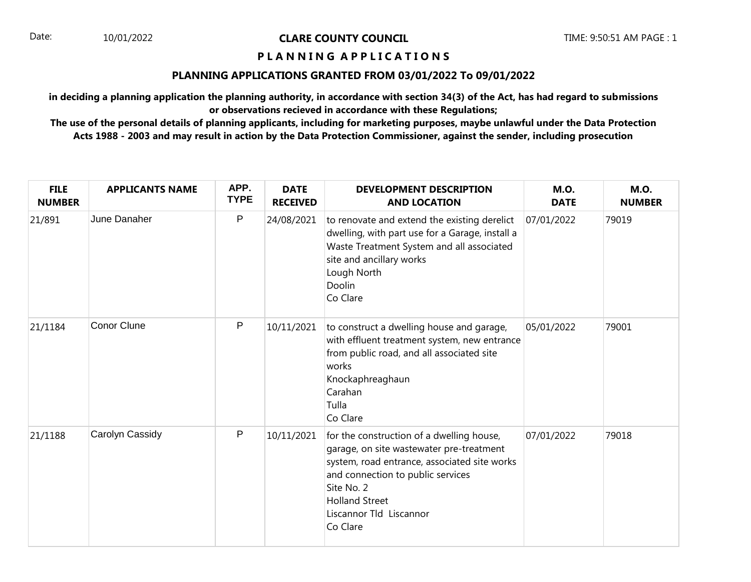Date: 10/01/2022 **CLARE COUNTY COUNCIL** TIME: 9:50:51 AM PAGE : 1

## **P L A N N I N G A P P L I C A T I O N S**

## **PLANNING APPLICATIONS GRANTED FROM 03/01/2022 To 09/01/2022**

**in deciding a planning application the planning authority, in accordance with section 34(3) of the Act, has had regard to submissions or observations recieved in accordance with these Regulations;**

**The use of the personal details of planning applicants, including for marketing purposes, maybe unlawful under the Data Protection Acts 1988 - 2003 and may result in action by the Data Protection Commissioner, against the sender, including prosecution**

| <b>FILE</b><br><b>NUMBER</b> | <b>APPLICANTS NAME</b> | APP.<br><b>TYPE</b> | <b>DATE</b><br><b>RECEIVED</b> | <b>DEVELOPMENT DESCRIPTION</b><br><b>AND LOCATION</b>                                                                                                                                                                                                    | <b>M.O.</b><br><b>DATE</b> | <b>M.O.</b><br><b>NUMBER</b> |
|------------------------------|------------------------|---------------------|--------------------------------|----------------------------------------------------------------------------------------------------------------------------------------------------------------------------------------------------------------------------------------------------------|----------------------------|------------------------------|
| 21/891                       | June Danaher           | $\mathsf P$         | 24/08/2021                     | to renovate and extend the existing derelict<br>dwelling, with part use for a Garage, install a<br>Waste Treatment System and all associated<br>site and ancillary works<br>Lough North<br>Doolin<br>Co Clare                                            | 07/01/2022                 | 79019                        |
| 21/1184                      | <b>Conor Clune</b>     | P                   | 10/11/2021                     | to construct a dwelling house and garage,<br>with effluent treatment system, new entrance<br>from public road, and all associated site<br>works<br>Knockaphreaghaun<br>Carahan<br>Tulla<br>Co Clare                                                      | 05/01/2022                 | 79001                        |
| 21/1188                      | Carolyn Cassidy        | ${\sf P}$           | 10/11/2021                     | for the construction of a dwelling house,<br>garage, on site wastewater pre-treatment<br>system, road entrance, associated site works<br>and connection to public services<br>Site No. 2<br><b>Holland Street</b><br>Liscannor Tld Liscannor<br>Co Clare | 07/01/2022                 | 79018                        |